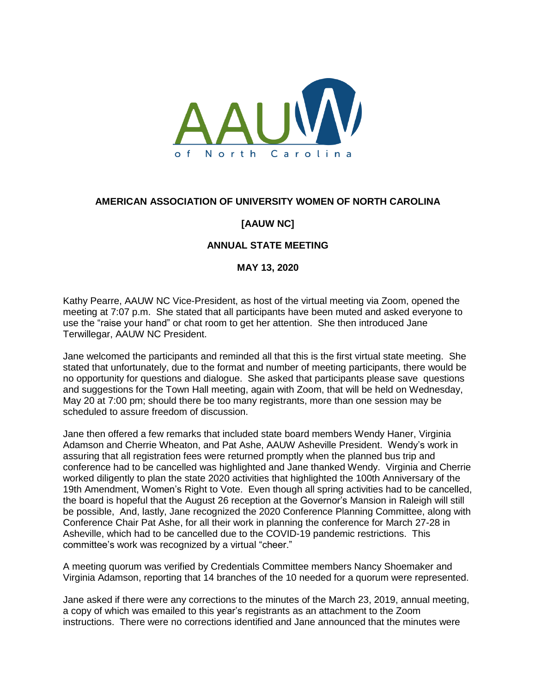

## **AMERICAN ASSOCIATION OF UNIVERSITY WOMEN OF NORTH CAROLINA**

## **[AAUW NC]**

## **ANNUAL STATE MEETING**

## **MAY 13, 2020**

Kathy Pearre, AAUW NC Vice-President, as host of the virtual meeting via Zoom, opened the meeting at 7:07 p.m. She stated that all participants have been muted and asked everyone to use the "raise your hand" or chat room to get her attention. She then introduced Jane Terwillegar, AAUW NC President.

Jane welcomed the participants and reminded all that this is the first virtual state meeting. She stated that unfortunately, due to the format and number of meeting participants, there would be no opportunity for questions and dialogue. She asked that participants please save questions and suggestions for the Town Hall meeting, again with Zoom, that will be held on Wednesday, May 20 at 7:00 pm; should there be too many registrants, more than one session may be scheduled to assure freedom of discussion.

Jane then offered a few remarks that included state board members Wendy Haner, Virginia Adamson and Cherrie Wheaton, and Pat Ashe, AAUW Asheville President. Wendy's work in assuring that all registration fees were returned promptly when the planned bus trip and conference had to be cancelled was highlighted and Jane thanked Wendy. Virginia and Cherrie worked diligently to plan the state 2020 activities that highlighted the 100th Anniversary of the 19th Amendment, Women's Right to Vote. Even though all spring activities had to be cancelled, the board is hopeful that the August 26 reception at the Governor's Mansion in Raleigh will still be possible, And, lastly, Jane recognized the 2020 Conference Planning Committee, along with Conference Chair Pat Ashe, for all their work in planning the conference for March 27-28 in Asheville, which had to be cancelled due to the COVID-19 pandemic restrictions. This committee's work was recognized by a virtual "cheer."

A meeting quorum was verified by Credentials Committee members Nancy Shoemaker and Virginia Adamson, reporting that 14 branches of the 10 needed for a quorum were represented.

Jane asked if there were any corrections to the minutes of the March 23, 2019, annual meeting, a copy of which was emailed to this year's registrants as an attachment to the Zoom instructions. There were no corrections identified and Jane announced that the minutes were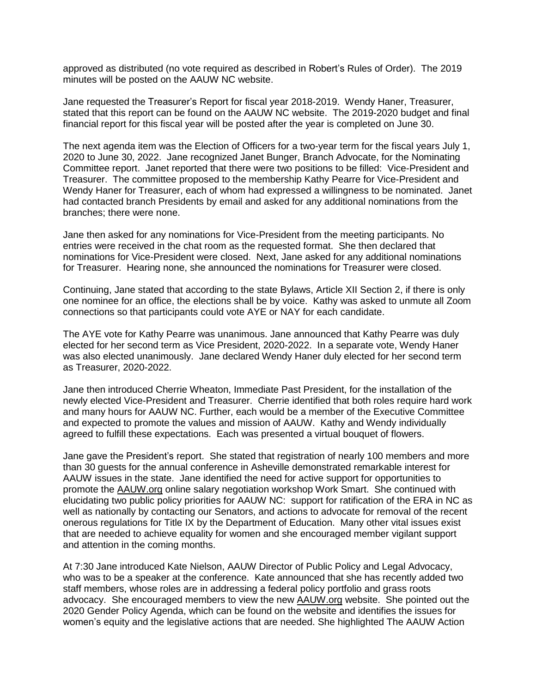approved as distributed (no vote required as described in Robert's Rules of Order). The 2019 minutes will be posted on the AAUW NC website.

Jane requested the Treasurer's Report for fiscal year 2018-2019. Wendy Haner, Treasurer, stated that this report can be found on the AAUW NC website. The 2019-2020 budget and final financial report for this fiscal year will be posted after the year is completed on June 30.

The next agenda item was the Election of Officers for a two-year term for the fiscal years July 1, 2020 to June 30, 2022. Jane recognized Janet Bunger, Branch Advocate, for the Nominating Committee report. Janet reported that there were two positions to be filled: Vice-President and Treasurer. The committee proposed to the membership Kathy Pearre for Vice-President and Wendy Haner for Treasurer, each of whom had expressed a willingness to be nominated. Janet had contacted branch Presidents by email and asked for any additional nominations from the branches; there were none.

Jane then asked for any nominations for Vice-President from the meeting participants. No entries were received in the chat room as the requested format. She then declared that nominations for Vice-President were closed. Next, Jane asked for any additional nominations for Treasurer. Hearing none, she announced the nominations for Treasurer were closed.

Continuing, Jane stated that according to the state Bylaws, Article XII Section 2, if there is only one nominee for an office, the elections shall be by voice. Kathy was asked to unmute all Zoom connections so that participants could vote AYE or NAY for each candidate.

The AYE vote for Kathy Pearre was unanimous. Jane announced that Kathy Pearre was duly elected for her second term as Vice President, 2020-2022. In a separate vote, Wendy Haner was also elected unanimously. Jane declared Wendy Haner duly elected for her second term as Treasurer, 2020-2022.

Jane then introduced Cherrie Wheaton, Immediate Past President, for the installation of the newly elected Vice-President and Treasurer. Cherrie identified that both roles require hard work and many hours for AAUW NC. Further, each would be a member of the Executive Committee and expected to promote the values and mission of AAUW. Kathy and Wendy individually agreed to fulfill these expectations. Each was presented a virtual bouquet of flowers.

Jane gave the President's report. She stated that registration of nearly 100 members and more than 30 guests for the annual conference in Asheville demonstrated remarkable interest for AAUW issues in the state. Jane identified the need for active support for opportunities to promote the [AAUW.org](http://aauw.org/) online salary negotiation workshop Work Smart. She continued with elucidating two public policy priorities for AAUW NC: support for ratification of the ERA in NC as well as nationally by contacting our Senators, and actions to advocate for removal of the recent onerous regulations for Title IX by the Department of Education. Many other vital issues exist that are needed to achieve equality for women and she encouraged member vigilant support and attention in the coming months.

At 7:30 Jane introduced Kate Nielson, AAUW Director of Public Policy and Legal Advocacy, who was to be a speaker at the conference. Kate announced that she has recently added two staff members, whose roles are in addressing a federal policy portfolio and grass roots advocacy. She encouraged members to view the new [AAUW.org](http://aauw.org/) website. She pointed out the 2020 Gender Policy Agenda, which can be found on the website and identifies the issues for women's equity and the legislative actions that are needed. She highlighted The AAUW Action